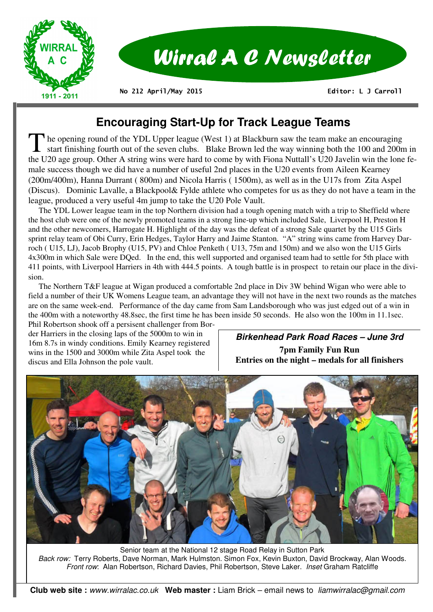

# **Encouraging Start-Up for Track League Teams**

The opening round of the YDL Upper league (West 1) at Blackburn saw the team make an encouraging<br>start finishing fourth out of the seven clubs. Blake Brown led the way winning both the 100 and 200m in<br>the U20 are agreed Ot the U20 age group. Other A string wins were hard to come by with Fiona Nuttall's U20 Javelin win the lone female success though we did have a number of useful 2nd places in the U20 events from Aileen Kearney (200m/400m), Hanna Durrant ( 800m) and Nicola Harris ( 1500m), as well as in the U17s from Zita Aspel (Discus). Dominic Lavalle, a Blackpool& Fylde athlete who competes for us as they do not have a team in the league, produced a very useful 4m jump to take the U20 Pole Vault.

 The YDL Lower league team in the top Northern division had a tough opening match with a trip to Sheffield where the host club were one of the newly promoted teams in a strong line-up which included Sale, Liverpool H, Preston H and the other newcomers, Harrogate H. Highlight of the day was the defeat of a strong Sale quartet by the U15 Girls sprint relay team of Obi Curry, Erin Hedges, Taylor Harry and Jaime Stanton. "A" string wins came from Harvey Darroch ( U15, LJ), Jacob Brophy (U15, PV) and Chloe Penketh ( U13, 75m and 150m) and we also won the U15 Girls 4x300m in which Sale were DQed. In the end, this well supported and organised team had to settle for 5th place with 411 points, with Liverpool Harriers in 4th with 444.5 points. A tough battle is in prospect to retain our place in the division.

 The Northern T&F league at Wigan produced a comfortable 2nd place in Div 3W behind Wigan who were able to field a number of their UK Womens League team, an advantage they will not have in the next two rounds as the matches are on the same week-end. Performance of the day came from Sam Landsborough who was just edged out of a win in the 400m with a noteworthy 48.8sec, the first time he has been inside 50 seconds. He also won the 100m in 11.1sec.

Phil Robertson shook off a persisent challenger from Border Harriers in the closing laps of the 5000m to win in 16m 8.7s in windy conditions. Emily Kearney registered wins in the 1500 and 3000m while Zita Aspel took the discus and Ella Johnson the pole vault.

## **Birkenhead Park Road Races – June 3rd 7pm Family Fun Run Entries on the night – medals for all finishers**



Senior team at the National 12 stage Road Relay in Sutton Park *Back row:* Terry Roberts, Dave Norman, Mark Hulmston. Simon Fox, Kevin Buxton, David Brockway, Alan Woods. *Front row*: Alan Robertson, Richard Davies, Phil Robertson, Steve Laker. *Inset* Graham Ratcliffe

**Club web site :** *www.wirralac.co.uk* **Web master :** Liam Brick – email news to *liamwirralac@gmail.com*